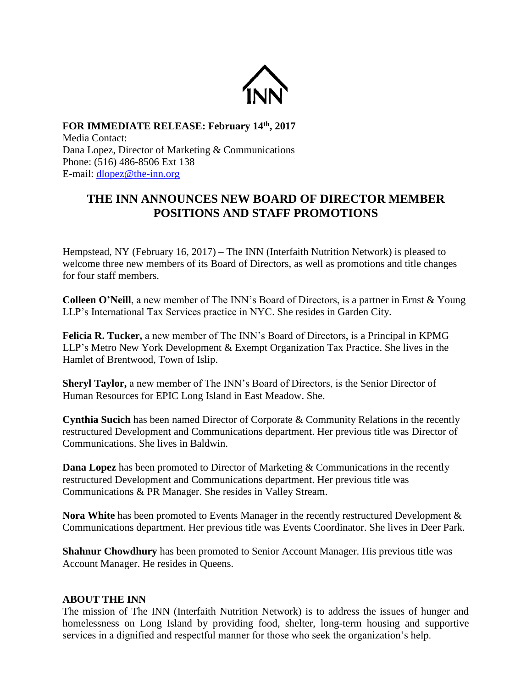

**FOR IMMEDIATE RELEASE: February 14th, 2017** Media Contact: Dana Lopez, Director of Marketing & Communications Phone: (516) 486-8506 Ext 138 E-mail: [dlopez@the-inn.org](mailto:dlopez@the-inn.org)

## **THE INN ANNOUNCES NEW BOARD OF DIRECTOR MEMBER POSITIONS AND STAFF PROMOTIONS**

Hempstead, NY (February 16, 2017) – The INN (Interfaith Nutrition Network) is pleased to welcome three new members of its Board of Directors, as well as promotions and title changes for four staff members.

**Colleen O'Neill**, a new member of The INN's Board of Directors, is a partner in Ernst & Young LLP's International Tax Services practice in NYC. She resides in Garden City.

**Felicia R. Tucker,** a new member of The INN's Board of Directors, is a Principal in KPMG LLP's Metro New York Development & Exempt Organization Tax Practice. She lives in the Hamlet of Brentwood, Town of Islip.

**Sheryl Taylor,** a new member of The INN's Board of Directors, is the Senior Director of Human Resources for EPIC Long Island in East Meadow. She.

**Cynthia Sucich** has been named Director of Corporate & Community Relations in the recently restructured Development and Communications department. Her previous title was Director of Communications. She lives in Baldwin.

**Dana Lopez** has been promoted to Director of Marketing & Communications in the recently restructured Development and Communications department. Her previous title was Communications & PR Manager. She resides in Valley Stream.

**Nora White** has been promoted to Events Manager in the recently restructured Development & Communications department. Her previous title was Events Coordinator. She lives in Deer Park.

**Shahnur Chowdhury** has been promoted to Senior Account Manager. His previous title was Account Manager. He resides in Queens.

## **ABOUT THE INN**

The mission of The INN (Interfaith Nutrition Network) is to address the issues of hunger and homelessness on Long Island by providing food, shelter, long-term housing and supportive services in a dignified and respectful manner for those who seek the organization's help.